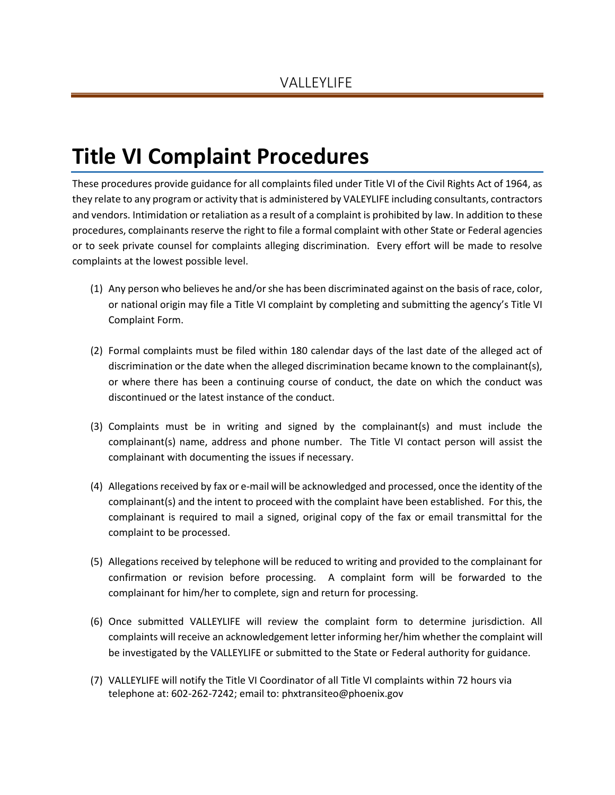## **Title VI Complaint Procedures**

These procedures provide guidance for all complaints filed under Title VI of the Civil Rights Act of 1964, as they relate to any program or activity that is administered by VALEYLIFE including consultants, contractors and vendors. Intimidation or retaliation as a result of a complaint is prohibited by law. In addition to these procedures, complainants reserve the right to file a formal complaint with other State or Federal agencies or to seek private counsel for complaints alleging discrimination. Every effort will be made to resolve complaints at the lowest possible level.

- (1) Any person who believes he and/or she has been discriminated against on the basis of race, color, or national origin may file a Title VI complaint by completing and submitting the agency's Title VI Complaint Form.
- (2) Formal complaints must be filed within 180 calendar days of the last date of the alleged act of discrimination or the date when the alleged discrimination became known to the complainant(s), or where there has been a continuing course of conduct, the date on which the conduct was discontinued or the latest instance of the conduct.
- (3) Complaints must be in writing and signed by the complainant(s) and must include the complainant(s) name, address and phone number. The Title VI contact person will assist the complainant with documenting the issues if necessary.
- (4) Allegations received by fax or e-mail will be acknowledged and processed, once the identity of the complainant(s) and the intent to proceed with the complaint have been established. For this, the complainant is required to mail a signed, original copy of the fax or email transmittal for the complaint to be processed.
- (5) Allegations received by telephone will be reduced to writing and provided to the complainant for confirmation or revision before processing. A complaint form will be forwarded to the complainant for him/her to complete, sign and return for processing.
- (6) Once submitted VALLEYLIFE will review the complaint form to determine jurisdiction. All complaints will receive an acknowledgement letter informing her/him whether the complaint will be investigated by the VALLEYLIFE or submitted to the State or Federal authority for guidance.
- (7) VALLEYLIFE will notify the Title VI Coordinator of all Title VI complaints within 72 hours via telephone at: 602-262-7242; email to: phxtransiteo@phoenix.gov